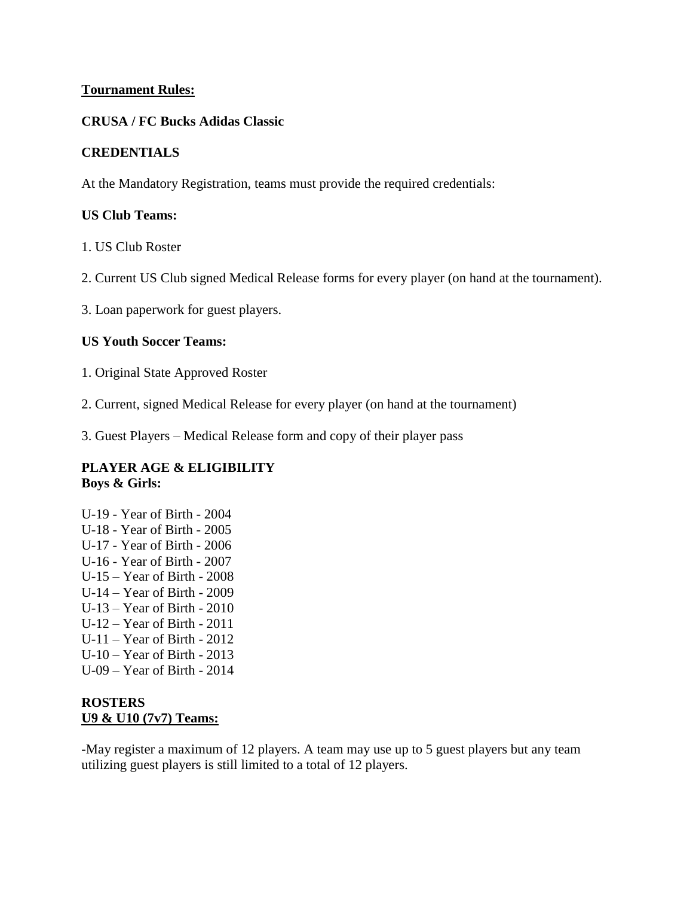#### **Tournament Rules:**

#### **CRUSA / FC Bucks Adidas Classic**

#### **CREDENTIALS**

At the Mandatory Registration, teams must provide the required credentials:

#### **US Club Teams:**

1. US Club Roster

2. Current US Club signed Medical Release forms for every player (on hand at the tournament).

3. Loan paperwork for guest players.

#### **US Youth Soccer Teams:**

1. Original State Approved Roster

2. Current, signed Medical Release for every player (on hand at the tournament)

3. Guest Players – Medical Release form and copy of their player pass

#### **PLAYER AGE & ELIGIBILITY Boys & Girls:**

U-19 - Year of Birth - 2004 U-18 - Year of Birth - 2005 U-17 - Year of Birth - 2006 U-16 - Year of Birth - 2007 U-15 – Year of Birth - 2008 U-14 – Year of Birth - 2009 U-13 – Year of Birth - 2010 U-12 – Year of Birth - 2011 U-11 – Year of Birth - 2012 U-10 – Year of Birth - 2013 U-09 – Year of Birth - 2014

# **ROSTERS U9 & U10 (7v7) Teams:**

**-**May register a maximum of 12 players. A team may use up to 5 guest players but any team utilizing guest players is still limited to a total of 12 players.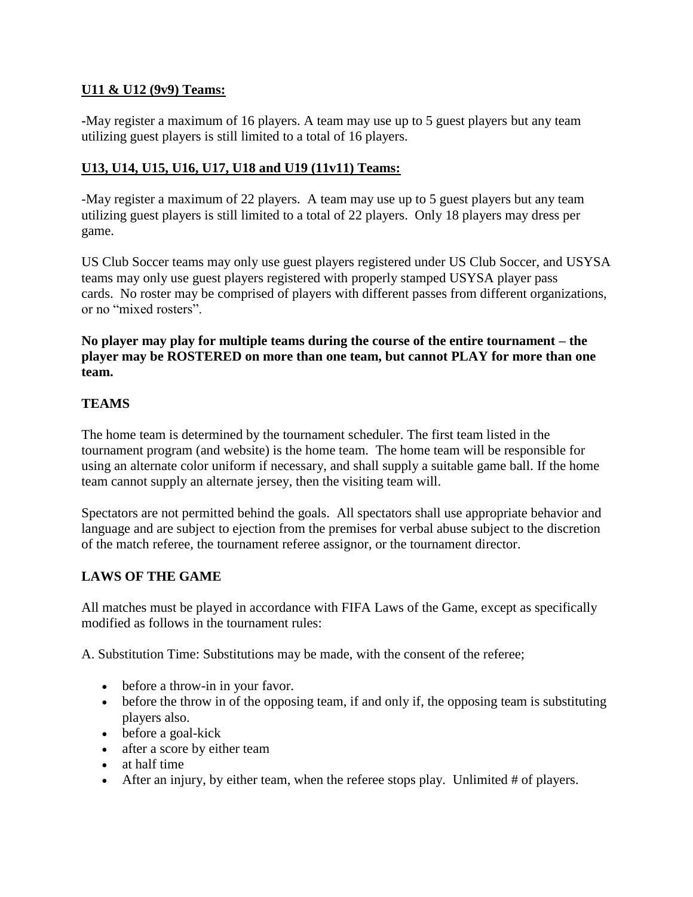# **U11 & U12 (9v9) Teams:**

**-**May register a maximum of 16 players. A team may use up to 5 guest players but any team utilizing guest players is still limited to a total of 16 players.

# **U13, U14, U15, U16, U17, U18 and U19 (11v11) Teams:**

-May register a maximum of 22 players. A team may use up to 5 guest players but any team utilizing guest players is still limited to a total of 22 players. Only 18 players may dress per game.

US Club Soccer teams may only use guest players registered under US Club Soccer, and USYSA teams may only use guest players registered with properly stamped USYSA player pass cards. No roster may be comprised of players with different passes from different organizations, or no "mixed rosters".

#### **No player may play for multiple teams during the course of the entire tournament – the player may be ROSTERED on more than one team, but cannot PLAY for more than one team.**

#### **TEAMS**

The home team is determined by the tournament scheduler. The first team listed in the tournament program (and website) is the home team. The home team will be responsible for using an alternate color uniform if necessary, and shall supply a suitable game ball. If the home team cannot supply an alternate jersey, then the visiting team will.

Spectators are not permitted behind the goals. All spectators shall use appropriate behavior and language and are subject to ejection from the premises for verbal abuse subject to the discretion of the match referee, the tournament referee assignor, or the tournament director.

# **LAWS OF THE GAME**

All matches must be played in accordance with FIFA Laws of the Game, except as specifically modified as follows in the tournament rules:

A. Substitution Time: Substitutions may be made, with the consent of the referee;

- before a throw-in in your favor.
- before the throw in of the opposing team, if and only if, the opposing team is substituting players also.
- before a goal-kick
- after a score by either team
- at half time
- After an injury, by either team, when the referee stops play. Unlimited  $#$  of players.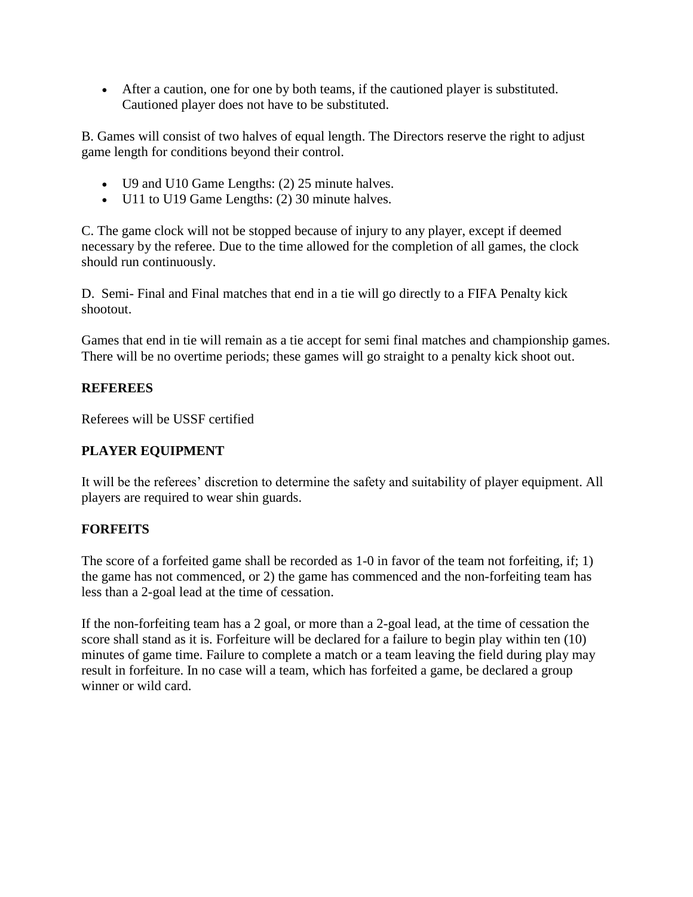After a caution, one for one by both teams, if the cautioned player is substituted. Cautioned player does not have to be substituted.

B. Games will consist of two halves of equal length. The Directors reserve the right to adjust game length for conditions beyond their control.

- U9 and U10 Game Lengths: (2) 25 minute halves.
- U11 to U19 Game Lengths: (2) 30 minute halves.

C. The game clock will not be stopped because of injury to any player, except if deemed necessary by the referee. Due to the time allowed for the completion of all games, the clock should run continuously.

D. Semi- Final and Final matches that end in a tie will go directly to a FIFA Penalty kick shootout.

Games that end in tie will remain as a tie accept for semi final matches and championship games. There will be no overtime periods; these games will go straight to a penalty kick shoot out.

# **REFEREES**

Referees will be USSF certified

# **PLAYER EQUIPMENT**

It will be the referees' discretion to determine the safety and suitability of player equipment. All players are required to wear shin guards.

# **FORFEITS**

The score of a forfeited game shall be recorded as 1-0 in favor of the team not forfeiting, if; 1) the game has not commenced, or 2) the game has commenced and the non-forfeiting team has less than a 2-goal lead at the time of cessation.

If the non-forfeiting team has a 2 goal, or more than a 2-goal lead, at the time of cessation the score shall stand as it is. Forfeiture will be declared for a failure to begin play within ten (10) minutes of game time. Failure to complete a match or a team leaving the field during play may result in forfeiture. In no case will a team, which has forfeited a game, be declared a group winner or wild card.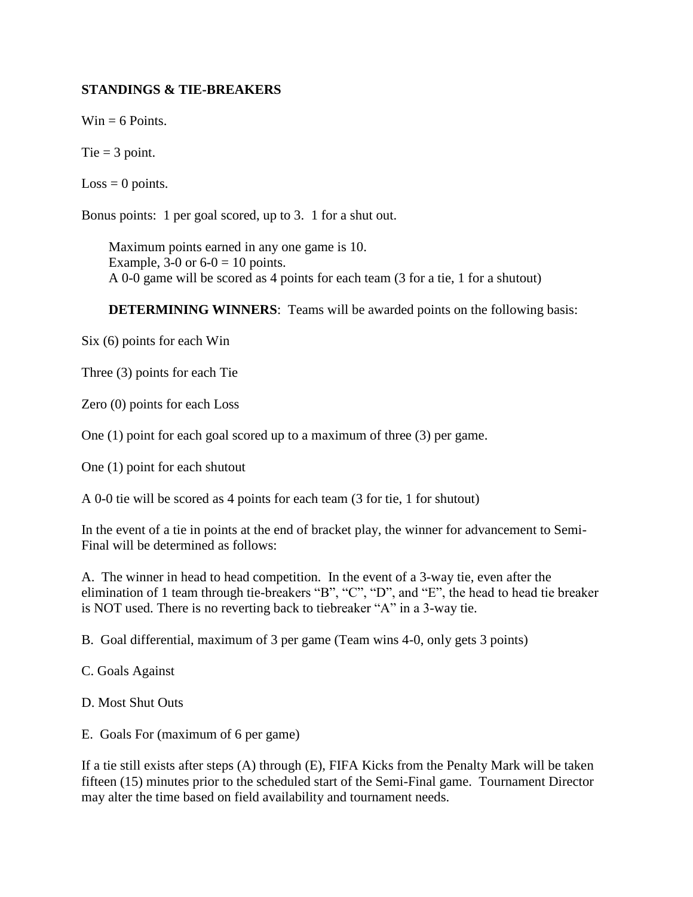# **STANDINGS & TIE-BREAKERS**

 $Win = 6$  Points.

Tie  $=$  3 point.

 $Loss = 0$  points.

Bonus points: 1 per goal scored, up to 3. 1 for a shut out.

Maximum points earned in any one game is 10. Example, 3-0 or  $6-0 = 10$  points. A 0-0 game will be scored as 4 points for each team (3 for a tie, 1 for a shutout)

**DETERMINING WINNERS:** Teams will be awarded points on the following basis:

Six (6) points for each Win

Three (3) points for each Tie

Zero (0) points for each Loss

One (1) point for each goal scored up to a maximum of three (3) per game.

One (1) point for each shutout

A 0-0 tie will be scored as 4 points for each team (3 for tie, 1 for shutout)

In the event of a tie in points at the end of bracket play, the winner for advancement to Semi-Final will be determined as follows:

A. The winner in head to head competition. In the event of a 3-way tie, even after the elimination of 1 team through tie-breakers "B", "C", "D", and "E", the head to head tie breaker is NOT used. There is no reverting back to tiebreaker "A" in a 3-way tie.

B. Goal differential, maximum of 3 per game (Team wins 4-0, only gets 3 points)

C. Goals Against

D. Most Shut Outs

E. Goals For (maximum of 6 per game)

If a tie still exists after steps (A) through (E), FIFA Kicks from the Penalty Mark will be taken fifteen (15) minutes prior to the scheduled start of the Semi-Final game. Tournament Director may alter the time based on field availability and tournament needs.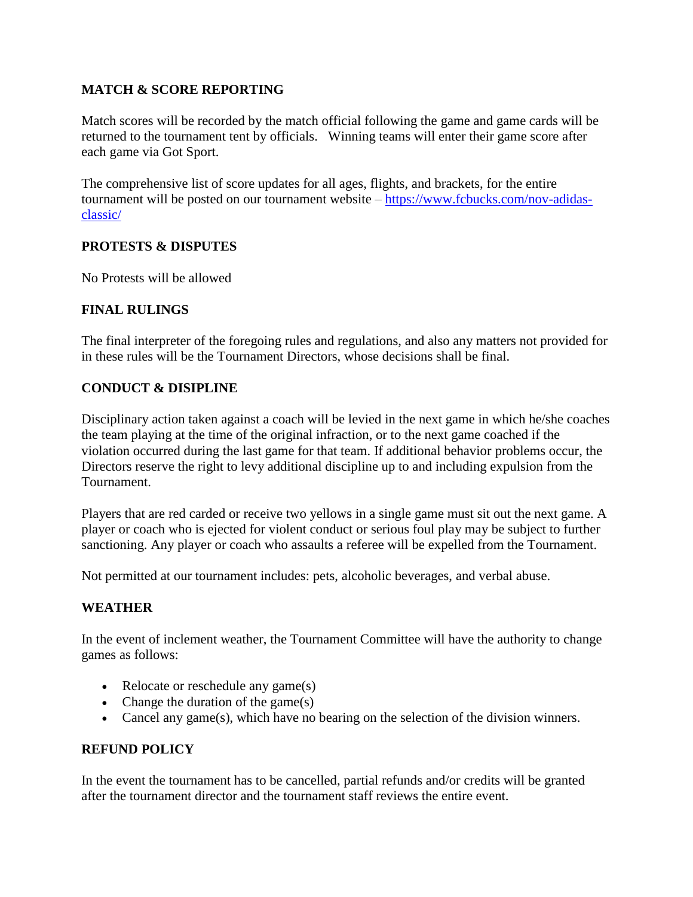# **MATCH & SCORE REPORTING**

Match scores will be recorded by the match official following the game and game cards will be returned to the tournament tent by officials. Winning teams will enter their game score after each game via Got Sport.

The comprehensive list of score updates for all ages, flights, and brackets, for the entire tournament will be posted on our tournament website – https://www.fcbucks.com/nov-adidasclassic/

# **PROTESTS & DISPUTES**

No Protests will be allowed

# **FINAL RULINGS**

The final interpreter of the foregoing rules and regulations, and also any matters not provided for in these rules will be the Tournament Directors, whose decisions shall be final.

# **CONDUCT & DISIPLINE**

Disciplinary action taken against a coach will be levied in the next game in which he/she coaches the team playing at the time of the original infraction, or to the next game coached if the violation occurred during the last game for that team. If additional behavior problems occur, the Directors reserve the right to levy additional discipline up to and including expulsion from the Tournament.

Players that are red carded or receive two yellows in a single game must sit out the next game. A player or coach who is ejected for violent conduct or serious foul play may be subject to further sanctioning. Any player or coach who assaults a referee will be expelled from the Tournament.

Not permitted at our tournament includes: pets, alcoholic beverages, and verbal abuse.

# **WEATHER**

In the event of inclement weather, the Tournament Committee will have the authority to change games as follows:

- Relocate or reschedule any game(s)
- Change the duration of the game $(s)$
- Cancel any game(s), which have no bearing on the selection of the division winners.

# **REFUND POLICY**

In the event the tournament has to be cancelled, partial refunds and/or credits will be granted after the tournament director and the tournament staff reviews the entire event.